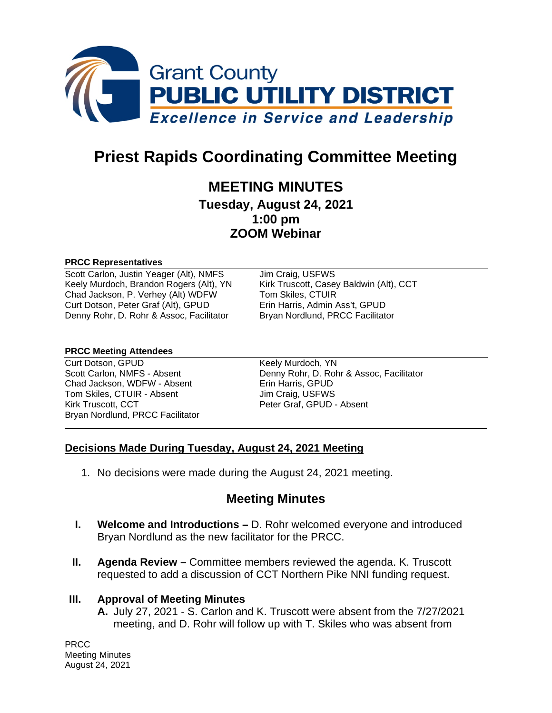

# **Priest Rapids Coordinating Committee Meeting**

## **MEETING MINUTES**

**Tuesday, August 24, 2021 1:00 pm ZOOM Webinar**

#### **PRCC Representatives**

Scott Carlon, Justin Yeager (Alt), NMFS Jim Craig, USFWS Keely Murdoch, Brandon Rogers (Alt), YN Kirk Truscott, Casey Baldwin (Alt), CCT Chad Jackson, P. Verhey (Alt) WDFW Tom Skiles, CTUIR<br>Curt Dotson. Peter Graf (Alt). GPUD Erin Harris. Admin Ass't. GPUD Curt Dotson, Peter Graf (Alt), GPUD Denny Rohr, D. Rohr & Assoc, Facilitator Bryan Nordlund, PRCC Facilitator

#### **PRCC Meeting Attendees**

Curt Dotson, GPUD Keely Murdoch, YN Chad Jackson, WDFW - Absent Erin Harris, GPUD Tom Skiles, CTUIR - Absent Jim Craig, USFWS Kirk Truscott, CCT Peter Graf, GPUD - Absent Bryan Nordlund, PRCC Facilitator

Scott Carlon, NMFS - Absent Denny Rohr, D. Rohr & Assoc, Facilitator

### **Decisions Made During Tuesday, August 24, 2021 Meeting**

1. No decisions were made during the August 24, 2021 meeting.

## **Meeting Minutes**

- **I. Welcome and Introductions –** D. Rohr welcomed everyone and introduced Bryan Nordlund as the new facilitator for the PRCC.
- **II. Agenda Review –** Committee members reviewed the agenda. K. Truscott requested to add a discussion of CCT Northern Pike NNI funding request.

#### **III. Approval of Meeting Minutes**

**A.** July 27, 2021 - S. Carlon and K. Truscott were absent from the 7/27/2021 meeting, and D. Rohr will follow up with T. Skiles who was absent from

PRCC Meeting Minutes August 24, 2021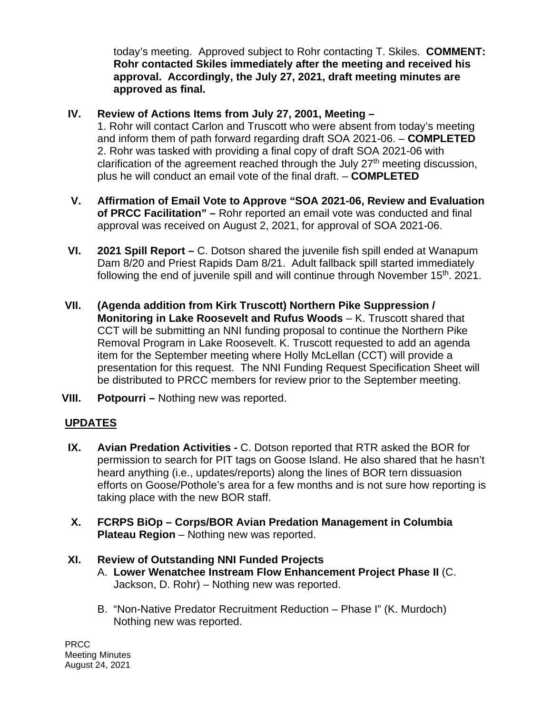today's meeting. Approved subject to Rohr contacting T. Skiles. **COMMENT: Rohr contacted Skiles immediately after the meeting and received his approval. Accordingly, the July 27, 2021, draft meeting minutes are approved as final.** 

## **IV. Review of Actions Items from July 27, 2001, Meeting –**

1. Rohr will contact Carlon and Truscott who were absent from today's meeting and inform them of path forward regarding draft SOA 2021-06. – **COMPLETED** 2. Rohr was tasked with providing a final copy of draft SOA 2021-06 with clarification of the agreement reached through the July  $27<sup>th</sup>$  meeting discussion, plus he will conduct an email vote of the final draft. – **COMPLETED**

- **V. Affirmation of Email Vote to Approve "SOA 2021-06, Review and Evaluation of PRCC Facilitation" –** Rohr reported an email vote was conducted and final approval was received on August 2, 2021, for approval of SOA 2021-06.
- **VI. 2021 Spill Report –** C. Dotson shared the juvenile fish spill ended at Wanapum Dam 8/20 and Priest Rapids Dam 8/21. Adult fallback spill started immediately following the end of juvenile spill and will continue through November  $15<sup>th</sup>$ . 2021.
- **VII. (Agenda addition from Kirk Truscott) Northern Pike Suppression / Monitoring in Lake Roosevelt and Rufus Woods** – K. Truscott shared that CCT will be submitting an NNI funding proposal to continue the Northern Pike Removal Program in Lake Roosevelt. K. Truscott requested to add an agenda item for the September meeting where Holly McLellan (CCT) will provide a presentation for this request. The NNI Funding Request Specification Sheet will be distributed to PRCC members for review prior to the September meeting.
- **VIII. Potpourri –** Nothing new was reported.

## **UPDATES**

- **IX. Avian Predation Activities -** C. Dotson reported that RTR asked the BOR for permission to search for PIT tags on Goose Island. He also shared that he hasn't heard anything (i.e., updates/reports) along the lines of BOR tern dissuasion efforts on Goose/Pothole's area for a few months and is not sure how reporting is taking place with the new BOR staff.
- **X. FCRPS BiOp – Corps/BOR Avian Predation Management in Columbia Plateau Region** – Nothing new was reported.

## **XI. Review of Outstanding NNI Funded Projects**

- A. **Lower Wenatchee Instream Flow Enhancement Project Phase II** (C. Jackson, D. Rohr) – Nothing new was reported.
- B. "Non-Native Predator Recruitment Reduction Phase I" (K. Murdoch) Nothing new was reported.

PRCC Meeting Minutes August 24, 2021